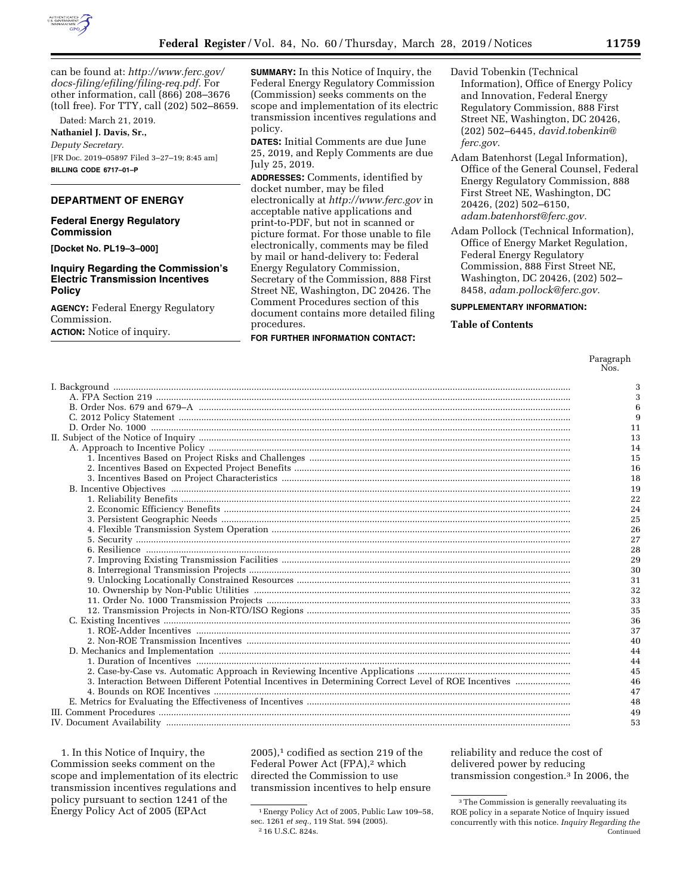

can be found at: *[http://www.ferc.gov/](http://www.ferc.gov/docs-filing/efiling/filing-req.pdf)  [docs-filing/efiling/filing-req.pdf.](http://www.ferc.gov/docs-filing/efiling/filing-req.pdf)* For other information, call (866) 208–3676 (toll free). For TTY, call (202) 502–8659.

Dated: March 21, 2019.

**Nathaniel J. Davis, Sr.,** 

*Deputy Secretary.*  [FR Doc. 2019–05897 Filed 3–27–19; 8:45 am] **BILLING CODE 6717–01–P** 

## **DEPARTMENT OF ENERGY**

## **Federal Energy Regulatory Commission**

**[Docket No. PL19–3–000]** 

## **Inquiry Regarding the Commission's Electric Transmission Incentives Policy**

**AGENCY:** Federal Energy Regulatory Commission.

**ACTION:** Notice of inquiry.

**SUMMARY:** In this Notice of Inquiry, the Federal Energy Regulatory Commission (Commission) seeks comments on the scope and implementation of its electric transmission incentives regulations and policy.

**DATES:** Initial Comments are due June 25, 2019, and Reply Comments are due July 25, 2019.

**ADDRESSES:** Comments, identified by docket number, may be filed electronically at *<http://www.ferc.gov>*in acceptable native applications and print-to-PDF, but not in scanned or picture format. For those unable to file electronically, comments may be filed by mail or hand-delivery to: Federal Energy Regulatory Commission, Secretary of the Commission, 888 First Street NE, Washington, DC 20426. The Comment Procedures section of this document contains more detailed filing procedures.

# **FOR FURTHER INFORMATION CONTACT:**

David Tobenkin (Technical Information), Office of Energy Policy and Innovation, Federal Energy Regulatory Commission, 888 First Street NE, Washington, DC 20426, (202) 502–6445, *[david.tobenkin@](mailto:david.tobenkin@ferc.gov) [ferc.gov.](mailto:david.tobenkin@ferc.gov)* 

- Adam Batenhorst (Legal Information), Office of the General Counsel, Federal Energy Regulatory Commission, 888 First Street NE, Washington, DC 20426, (202) 502–6150, *[adam.batenhorst@ferc.gov.](mailto:adam.batenhorst@ferc.gov)*
- Adam Pollock (Technical Information), Office of Energy Market Regulation, Federal Energy Regulatory Commission, 888 First Street NE, Washington, DC 20426, (202) 502– 8458, *[adam.pollock@ferc.gov.](mailto:adam.pollock@ferc.gov)*

## **SUPPLEMENTARY INFORMATION:**

## **Table of Contents**

Paragraph Nos.

| 3  |
|----|
| 3  |
| 6  |
| 9  |
| 11 |
| 13 |
| 14 |
| 15 |
| 16 |
| 18 |
| 19 |
| 22 |
| 24 |
| 25 |
| 26 |
| 27 |
| 28 |
| 29 |
| 30 |
| 31 |
| 32 |
| 33 |
| 35 |
| 36 |
| 37 |
| 40 |
| 44 |
| 44 |
| 45 |
| 46 |
| 47 |
| 48 |
| 49 |
| 53 |

1. In this Notice of Inquiry, the Commission seeks comment on the scope and implementation of its electric transmission incentives regulations and policy pursuant to section 1241 of the Energy Policy Act of 2005 (EPAct

 $2005$ ,<sup>1</sup> codified as section 219 of the Federal Power Act (FPA),<sup>2</sup> which directed the Commission to use transmission incentives to help ensure reliability and reduce the cost of delivered power by reducing transmission congestion.3 In 2006, the

<sup>1</sup>Energy Policy Act of 2005, Public Law 109–58, sec. 1261 *et seq.,* 119 Stat. 594 (2005). 2 16 U.S.C. 824s.

<sup>&</sup>lt;sup>3</sup>The Commission is generally reevaluating its ROE policy in a separate Notice of Inquiry issued concurrently with this notice. *Inquiry Regarding the*  Continued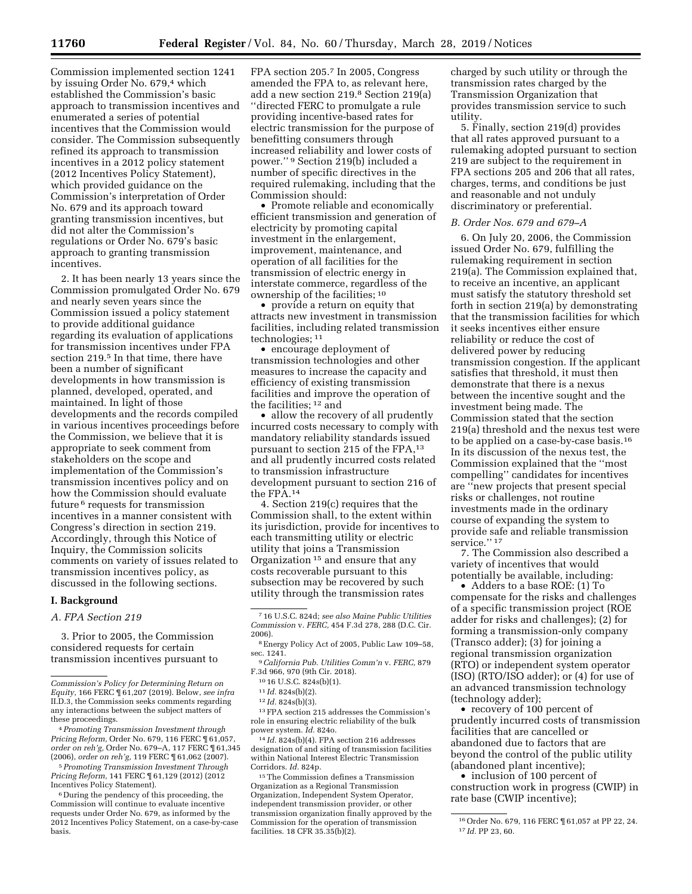Commission implemented section 1241 by issuing Order No. 679,4 which established the Commission's basic approach to transmission incentives and enumerated a series of potential incentives that the Commission would consider. The Commission subsequently refined its approach to transmission incentives in a 2012 policy statement (2012 Incentives Policy Statement), which provided guidance on the Commission's interpretation of Order No. 679 and its approach toward granting transmission incentives, but did not alter the Commission's regulations or Order No. 679's basic approach to granting transmission incentives.

2. It has been nearly 13 years since the Commission promulgated Order No. 679 and nearly seven years since the Commission issued a policy statement to provide additional guidance regarding its evaluation of applications for transmission incentives under FPA section 219.5 In that time, there have been a number of significant developments in how transmission is planned, developed, operated, and maintained. In light of those developments and the records compiled in various incentives proceedings before the Commission, we believe that it is appropriate to seek comment from stakeholders on the scope and implementation of the Commission's transmission incentives policy and on how the Commission should evaluate future 6 requests for transmission incentives in a manner consistent with Congress's direction in section 219. Accordingly, through this Notice of Inquiry, the Commission solicits comments on variety of issues related to transmission incentives policy, as discussed in the following sections.

### **I. Background**

*A. FPA Section 219* 

3. Prior to 2005, the Commission considered requests for certain transmission incentives pursuant to

5*Promoting Transmission Investment Through Pricing Reform,* 141 FERC ¶ 61,129 (2012) (2012 Incentives Policy Statement).

FPA section 205.7 In 2005, Congress amended the FPA to, as relevant here, add a new section 219.8 Section 219(a) ''directed FERC to promulgate a rule providing incentive-based rates for electric transmission for the purpose of benefitting consumers through increased reliability and lower costs of power.'' 9 Section 219(b) included a number of specific directives in the required rulemaking, including that the Commission should:

• Promote reliable and economically efficient transmission and generation of electricity by promoting capital investment in the enlargement, improvement, maintenance, and operation of all facilities for the transmission of electric energy in interstate commerce, regardless of the ownership of the facilities; 10

• provide a return on equity that attracts new investment in transmission facilities, including related transmission technologies; 11

• encourage deployment of transmission technologies and other measures to increase the capacity and efficiency of existing transmission facilities and improve the operation of the facilities; 12 and

• allow the recovery of all prudently incurred costs necessary to comply with mandatory reliability standards issued pursuant to section 215 of the FPA,13 and all prudently incurred costs related to transmission infrastructure development pursuant to section 216 of the FPA.14

4. Section 219(c) requires that the Commission shall, to the extent within its jurisdiction, provide for incentives to each transmitting utility or electric utility that joins a Transmission Organization 15 and ensure that any costs recoverable pursuant to this subsection may be recovered by such utility through the transmission rates

9*California Pub. Utilities Comm'n* v. *FERC,* 879 F.3d 966, 970 (9th Cir. 2018).

13FPA section 215 addresses the Commission's role in ensuring electric reliability of the bulk power system. *Id.* 824o.

14 *Id.* 824s(b)(4). FPA section 216 addresses designation of and siting of transmission facilities within National Interest Electric Transmission Corridors. *Id.* 824p.

15The Commission defines a Transmission Organization as a Regional Transmission Organization, Independent System Operator, independent transmission provider, or other transmission organization finally approved by the Commission for the operation of transmission facilities. 18 CFR 35.35(b)(2).

charged by such utility or through the transmission rates charged by the Transmission Organization that provides transmission service to such utility.

5. Finally, section 219(d) provides that all rates approved pursuant to a rulemaking adopted pursuant to section 219 are subject to the requirement in FPA sections 205 and 206 that all rates, charges, terms, and conditions be just and reasonable and not unduly discriminatory or preferential.

## *B. Order Nos. 679 and 679–A*

6. On July 20, 2006, the Commission issued Order No. 679, fulfilling the rulemaking requirement in section 219(a). The Commission explained that, to receive an incentive, an applicant must satisfy the statutory threshold set forth in section 219(a) by demonstrating that the transmission facilities for which it seeks incentives either ensure reliability or reduce the cost of delivered power by reducing transmission congestion. If the applicant satisfies that threshold, it must then demonstrate that there is a nexus between the incentive sought and the investment being made. The Commission stated that the section 219(a) threshold and the nexus test were to be applied on a case-by-case basis.16 In its discussion of the nexus test, the Commission explained that the ''most compelling'' candidates for incentives are ''new projects that present special risks or challenges, not routine investments made in the ordinary course of expanding the system to provide safe and reliable transmission service."<sup>17</sup>

7. The Commission also described a variety of incentives that would potentially be available, including:

• Adders to a base ROE: (1) To compensate for the risks and challenges of a specific transmission project (ROE adder for risks and challenges); (2) for forming a transmission-only company (Transco adder); (3) for joining a regional transmission organization (RTO) or independent system operator (ISO) (RTO/ISO adder); or (4) for use of an advanced transmission technology (technology adder);

• recovery of 100 percent of prudently incurred costs of transmission facilities that are cancelled or abandoned due to factors that are beyond the control of the public utility (abandoned plant incentive);

• inclusion of 100 percent of construction work in progress (CWIP) in rate base (CWIP incentive);

*Commission's Policy for Determining Return on Equity,* 166 FERC ¶ 61,207 (2019). Below, *see infra*  II.D.3, the Commission seeks comments regarding any interactions between the subject matters of these proceedings.

<sup>4</sup>*Promoting Transmission Investment through Pricing Reform,* Order No. 679, 116 FERC ¶ 61,057, *order on reh'g,* Order No. 679–A, 117 FERC ¶ 61,345 (2006), *order on reh'g,* 119 FERC ¶ 61,062 (2007).

<sup>6</sup> During the pendency of this proceeding, the Commission will continue to evaluate incentive requests under Order No. 679, as informed by the 2012 Incentives Policy Statement, on a case-by-case basis.

<sup>7</sup> 16 U.S.C. 824d; *see also Maine Public Utilities Commission* v. *FERC,* 454 F.3d 278, 288 (D.C. Cir. 2006).

<sup>8</sup>Energy Policy Act of 2005, Public Law 109–58, sec. 1241.

<sup>10</sup> 16 U.S.C. 824s(b)(1).

<sup>11</sup> *Id.* 824s(b)(2).

<sup>12</sup> *Id.* 824s(b)(3).

<sup>16</sup>Order No. 679, 116 FERC ¶ 61,057 at PP 22, 24. 17 *Id.* PP 23, 60.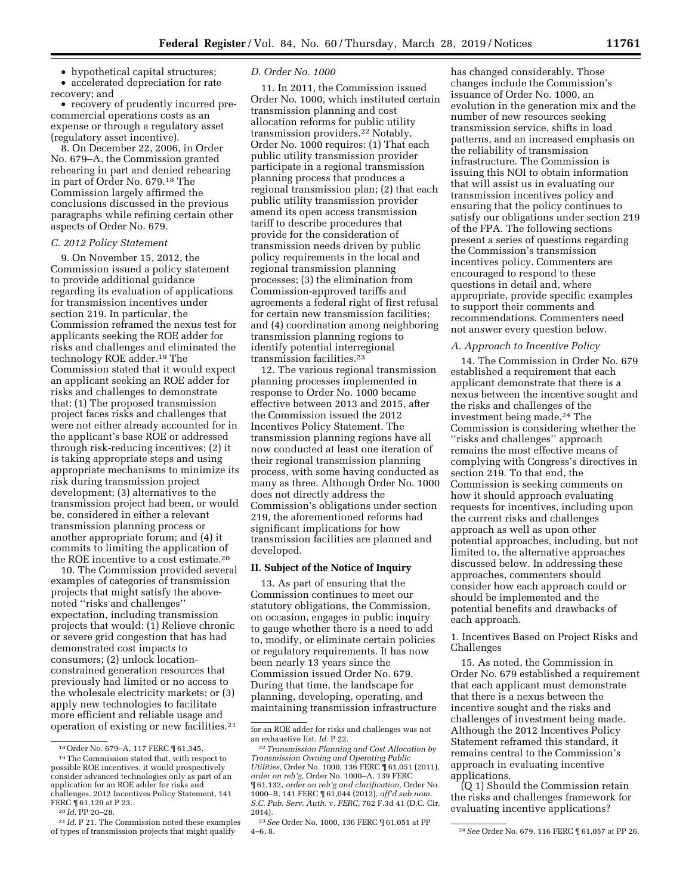• hypothetical capital structures;

• accelerated depreciation for rate recovery; and

• recovery of prudently incurred precommercial operations costs as an expense or through a regulatory asset (regulatory asset incentive).

8. On December 22, 2006, in Order No. 679–A, the Commission granted rehearing in part and denied rehearing in part of Order No. 679.18 The Commission largely affirmed the conclusions discussed in the previous paragraphs while refining certain other aspects of Order No. 679.

## *C. 2012 Policy Statement*

9. On November 15, 2012, the Commission issued a policy statement to provide additional guidance regarding its evaluation of applications for transmission incentives under section 219. In particular, the Commission reframed the nexus test for applicants seeking the ROE adder for risks and challenges and eliminated the technology ROE adder.19 The Commission stated that it would expect an applicant seeking an ROE adder for risks and challenges to demonstrate that: (1) The proposed transmission project faces risks and challenges that were not either already accounted for in the applicant's base ROE or addressed through risk-reducing incentives; (2) it is taking appropriate steps and using appropriate mechanisms to minimize its risk during transmission project development; (3) alternatives to the transmission project had been, or would be, considered in either a relevant transmission planning process or another appropriate forum; and (4) it commits to limiting the application of the ROE incentive to a cost estimate.20

10. The Commission provided several examples of categories of transmission projects that might satisfy the abovenoted ''risks and challenges'' expectation, including transmission projects that would: (1) Relieve chronic or severe grid congestion that has had demonstrated cost impacts to consumers; (2) unlock locationconstrained generation resources that previously had limited or no access to the wholesale electricity markets; or (3) apply new technologies to facilitate more efficient and reliable usage and operation of existing or new facilities.21

## *D. Order No. 1000*

11. In 2011, the Commission issued Order No. 1000, which instituted certain transmission planning and cost allocation reforms for public utility transmission providers.22 Notably, Order No. 1000 requires: (1) That each public utility transmission provider participate in a regional transmission planning process that produces a regional transmission plan; (2) that each public utility transmission provider amend its open access transmission tariff to describe procedures that provide for the consideration of transmission needs driven by public policy requirements in the local and regional transmission planning processes; (3) the elimination from Commission-approved tariffs and agreements a federal right of first refusal for certain new transmission facilities; and (4) coordination among neighboring transmission planning regions to identify potential interregional transmission facilities.23

12. The various regional transmission planning processes implemented in response to Order No. 1000 became effective between 2013 and 2015, after the Commission issued the 2012 Incentives Policy Statement. The transmission planning regions have all now conducted at least one iteration of their regional transmission planning process, with some having conducted as many as three. Although Order No. 1000 does not directly address the Commission's obligations under section 219, the aforementioned reforms had significant implications for how transmission facilities are planned and developed.

#### **II. Subject of the Notice of Inquiry**

13. As part of ensuring that the Commission continues to meet our statutory obligations, the Commission, on occasion, engages in public inquiry to gauge whether there is a need to add to, modify, or eliminate certain policies or regulatory requirements. It has now been nearly 13 years since the Commission issued Order No. 679. During that time, the landscape for planning, developing, operating, and maintaining transmission infrastructure has changed considerably. Those changes include the Commission's issuance of Order No. 1000, an evolution in the generation mix and the number of new resources seeking transmission service, shifts in load patterns, and an increased emphasis on the reliability of transmission infrastructure. The Commission is issuing this NOI to obtain information that will assist us in evaluating our transmission incentives policy and ensuring that the policy continues to satisfy our obligations under section 219 of the FPA. The following sections present a series of questions regarding the Commission's transmission incentives policy. Commenters are encouraged to respond to these questions in detail and, where appropriate, provide specific examples to support their comments and recommendations. Commenters need not answer every question below.

## *A. Approach to Incentive Policy*

14. The Commission in Order No. 679 established a requirement that each applicant demonstrate that there is a nexus between the incentive sought and the risks and challenges of the investment being made.24 The Commission is considering whether the ''risks and challenges'' approach remains the most effective means of complying with Congress's directives in section 219. To that end, the Commission is seeking comments on how it should approach evaluating requests for incentives, including upon the current risks and challenges approach as well as upon other potential approaches, including, but not limited to, the alternative approaches discussed below. In addressing these approaches, commenters should consider how each approach could or should be implemented and the potential benefits and drawbacks of each approach.

1. Incentives Based on Project Risks and Challenges

15. As noted, the Commission in Order No. 679 established a requirement that each applicant must demonstrate that there is a nexus between the incentive sought and the risks and challenges of investment being made. Although the 2012 Incentives Policy Statement reframed this standard, it remains central to the Commission's approach in evaluating incentive applications.

(Q 1) Should the Commission retain the risks and challenges framework for evaluating incentive applications?

<sup>&</sup>lt;sup>18</sup> Order No. 679–A, 117 FERC  $\P$  61,345.<br><sup>19</sup> The Commission stated that, with respect to possible ROE incentives, it would prospectively consider advanced technologies only as part of an application for an ROE adder for risks and challenges. 2012 Incentives Policy Statement, 141<br>FERC ¶61.129 at P 23.

FERC ¶ 61,129 at P 23. 20 *Id.* PP 20–28. 21 *Id.* P 21. The Commission noted these examples of types of transmission projects that might qualify

for an ROE adder for risks and challenges was not an exhaustive list. *Id.* P 22.

<sup>22</sup>*Transmission Planning and Cost Allocation by Transmission Owning and Operating Public Utilities,* Order No. 1000, 136 FERC ¶ 61,051 (2011), *order on reh'g,* Order No. 1000–A, 139 FERC ¶ 61,132, *order on reh'g and clarification,* Order No. 1000–B, 141 FERC ¶ 61,044 (2012), *aff'd sub nom. S.C. Pub. Serv. Auth.* v. *FERC,* 762 F.3d 41 (D.C. Cir. 2014).

<sup>23</sup>*See* Order No. 1000, 136 FERC ¶ 61,051 at PP

<sup>4–6, 8. 24</sup>*See* Order No. 679, 116 FERC ¶ 61,057 at PP 26.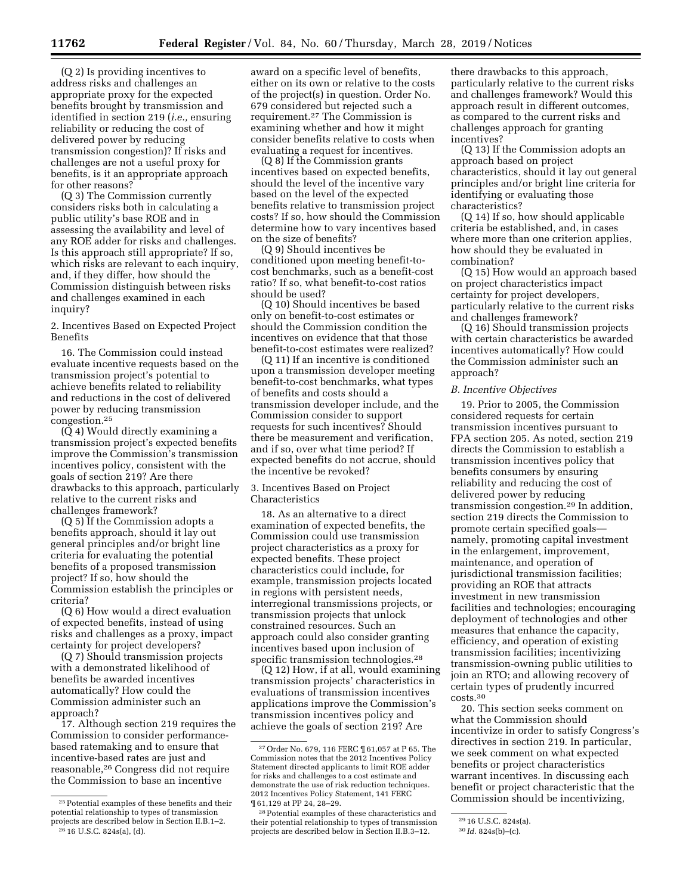(Q 2) Is providing incentives to address risks and challenges an appropriate proxy for the expected benefits brought by transmission and identified in section 219 (*i.e.,* ensuring

reliability or reducing the cost of delivered power by reducing transmission congestion)? If risks and challenges are not a useful proxy for benefits, is it an appropriate approach for other reasons?

(Q 3) The Commission currently considers risks both in calculating a public utility's base ROE and in assessing the availability and level of any ROE adder for risks and challenges. Is this approach still appropriate? If so, which risks are relevant to each inquiry, and, if they differ, how should the Commission distinguish between risks and challenges examined in each inquiry?

2. Incentives Based on Expected Project Benefits

16. The Commission could instead evaluate incentive requests based on the transmission project's potential to achieve benefits related to reliability and reductions in the cost of delivered power by reducing transmission congestion.25

(Q 4) Would directly examining a transmission project's expected benefits improve the Commission's transmission incentives policy, consistent with the goals of section 219? Are there drawbacks to this approach, particularly relative to the current risks and challenges framework?

(Q 5) If the Commission adopts a benefits approach, should it lay out general principles and/or bright line criteria for evaluating the potential benefits of a proposed transmission project? If so, how should the Commission establish the principles or criteria?

(Q 6) How would a direct evaluation of expected benefits, instead of using risks and challenges as a proxy, impact certainty for project developers?

(Q 7) Should transmission projects with a demonstrated likelihood of benefits be awarded incentives automatically? How could the Commission administer such an approach?

17. Although section 219 requires the Commission to consider performancebased ratemaking and to ensure that incentive-based rates are just and reasonable,26 Congress did not require the Commission to base an incentive

award on a specific level of benefits, either on its own or relative to the costs of the project(s) in question. Order No. 679 considered but rejected such a requirement.27 The Commission is examining whether and how it might consider benefits relative to costs when evaluating a request for incentives.

(Q 8) If the Commission grants incentives based on expected benefits, should the level of the incentive vary based on the level of the expected benefits relative to transmission project costs? If so, how should the Commission determine how to vary incentives based on the size of benefits?

(Q 9) Should incentives be conditioned upon meeting benefit-tocost benchmarks, such as a benefit-cost ratio? If so, what benefit-to-cost ratios should be used?

(Q 10) Should incentives be based only on benefit-to-cost estimates or should the Commission condition the incentives on evidence that that those benefit-to-cost estimates were realized?

(Q 11) If an incentive is conditioned upon a transmission developer meeting benefit-to-cost benchmarks, what types of benefits and costs should a transmission developer include, and the Commission consider to support requests for such incentives? Should there be measurement and verification, and if so, over what time period? If expected benefits do not accrue, should the incentive be revoked?

3. Incentives Based on Project Characteristics

18. As an alternative to a direct examination of expected benefits, the Commission could use transmission project characteristics as a proxy for expected benefits. These project characteristics could include, for example, transmission projects located in regions with persistent needs, interregional transmissions projects, or transmission projects that unlock constrained resources. Such an approach could also consider granting incentives based upon inclusion of specific transmission technologies.28

(Q 12) How, if at all, would examining transmission projects' characteristics in evaluations of transmission incentives applications improve the Commission's transmission incentives policy and achieve the goals of section 219? Are

there drawbacks to this approach, particularly relative to the current risks and challenges framework? Would this approach result in different outcomes, as compared to the current risks and challenges approach for granting incentives?

(Q 13) If the Commission adopts an approach based on project characteristics, should it lay out general principles and/or bright line criteria for identifying or evaluating those characteristics?

(Q 14) If so, how should applicable criteria be established, and, in cases where more than one criterion applies, how should they be evaluated in combination?

(Q 15) How would an approach based on project characteristics impact certainty for project developers, particularly relative to the current risks and challenges framework?

(Q 16) Should transmission projects with certain characteristics be awarded incentives automatically? How could the Commission administer such an approach?

## *B. Incentive Objectives*

19. Prior to 2005, the Commission considered requests for certain transmission incentives pursuant to FPA section 205. As noted, section 219 directs the Commission to establish a transmission incentives policy that benefits consumers by ensuring reliability and reducing the cost of delivered power by reducing transmission congestion.29 In addition, section 219 directs the Commission to promote certain specified goals namely, promoting capital investment in the enlargement, improvement, maintenance, and operation of jurisdictional transmission facilities; providing an ROE that attracts investment in new transmission facilities and technologies; encouraging deployment of technologies and other measures that enhance the capacity, efficiency, and operation of existing transmission facilities; incentivizing transmission-owning public utilities to join an RTO; and allowing recovery of certain types of prudently incurred costs.30

20. This section seeks comment on what the Commission should incentivize in order to satisfy Congress's directives in section 219. In particular, we seek comment on what expected benefits or project characteristics warrant incentives. In discussing each benefit or project characteristic that the Commission should be incentivizing,

<sup>25</sup>Potential examples of these benefits and their potential relationship to types of transmission projects are described below in Section II.B.1–2. 26 16 U.S.C. 824s(a), (d).

<sup>27</sup>Order No. 679, 116 FERC ¶ 61,057 at P 65. The Commission notes that the 2012 Incentives Policy Statement directed applicants to limit ROE adder for risks and challenges to a cost estimate and demonstrate the use of risk reduction techniques. 2012 Incentives Policy Statement, 141 FERC ¶ 61,129 at PP 24, 28–29.

<sup>28</sup>Potential examples of these characteristics and their potential relationship to types of transmission projects are described below in Section II.B.3–12.

<sup>29</sup> 16 U.S.C. 824s(a).

<sup>30</sup> *Id.* 824s(b)–(c).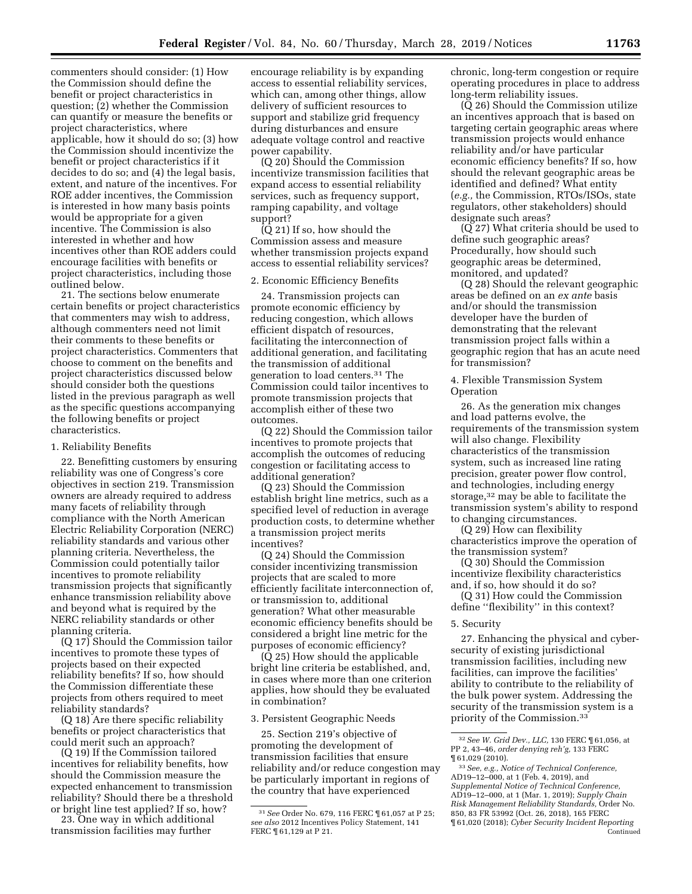commenters should consider: (1) How the Commission should define the benefit or project characteristics in question; (2) whether the Commission can quantify or measure the benefits or project characteristics, where applicable, how it should do so; (3) how the Commission should incentivize the benefit or project characteristics if it decides to do so; and (4) the legal basis, extent, and nature of the incentives. For ROE adder incentives, the Commission is interested in how many basis points would be appropriate for a given incentive. The Commission is also interested in whether and how incentives other than ROE adders could encourage facilities with benefits or project characteristics, including those outlined below.

21. The sections below enumerate certain benefits or project characteristics that commenters may wish to address, although commenters need not limit their comments to these benefits or project characteristics. Commenters that choose to comment on the benefits and project characteristics discussed below should consider both the questions listed in the previous paragraph as well as the specific questions accompanying the following benefits or project characteristics.

## 1. Reliability Benefits

22. Benefitting customers by ensuring reliability was one of Congress's core objectives in section 219. Transmission owners are already required to address many facets of reliability through compliance with the North American Electric Reliability Corporation (NERC) reliability standards and various other planning criteria. Nevertheless, the Commission could potentially tailor incentives to promote reliability transmission projects that significantly enhance transmission reliability above and beyond what is required by the NERC reliability standards or other planning criteria.

(Q 17) Should the Commission tailor incentives to promote these types of projects based on their expected reliability benefits? If so, how should the Commission differentiate these projects from others required to meet reliability standards?

(Q 18) Are there specific reliability benefits or project characteristics that could merit such an approach?

(Q 19) If the Commission tailored incentives for reliability benefits, how should the Commission measure the expected enhancement to transmission reliability? Should there be a threshold or bright line test applied? If so, how?

23. One way in which additional transmission facilities may further

encourage reliability is by expanding access to essential reliability services, which can, among other things, allow delivery of sufficient resources to support and stabilize grid frequency during disturbances and ensure adequate voltage control and reactive power capability.

(Q 20) Should the Commission incentivize transmission facilities that expand access to essential reliability services, such as frequency support, ramping capability, and voltage support?

 $\overline{O}$  21) If so, how should the Commission assess and measure whether transmission projects expand access to essential reliability services?

## 2. Economic Efficiency Benefits

24. Transmission projects can promote economic efficiency by reducing congestion, which allows efficient dispatch of resources, facilitating the interconnection of additional generation, and facilitating the transmission of additional generation to load centers.31 The Commission could tailor incentives to promote transmission projects that accomplish either of these two outcomes.

(Q 22) Should the Commission tailor incentives to promote projects that accomplish the outcomes of reducing congestion or facilitating access to additional generation?

(Q 23) Should the Commission establish bright line metrics, such as a specified level of reduction in average production costs, to determine whether a transmission project merits incentives?

(Q 24) Should the Commission consider incentivizing transmission projects that are scaled to more efficiently facilitate interconnection of, or transmission to, additional generation? What other measurable economic efficiency benefits should be considered a bright line metric for the purposes of economic efficiency?

(Q 25) How should the applicable bright line criteria be established, and, in cases where more than one criterion applies, how should they be evaluated in combination?

### 3. Persistent Geographic Needs

25. Section 219's objective of promoting the development of transmission facilities that ensure reliability and/or reduce congestion may be particularly important in regions of the country that have experienced

chronic, long-term congestion or require operating procedures in place to address long-term reliability issues.

(Q 26) Should the Commission utilize an incentives approach that is based on targeting certain geographic areas where transmission projects would enhance reliability and/or have particular economic efficiency benefits? If so, how should the relevant geographic areas be identified and defined? What entity (*e.g.,* the Commission, RTOs/ISOs, state regulators, other stakeholders) should designate such areas?

(Q 27) What criteria should be used to define such geographic areas? Procedurally, how should such geographic areas be determined, monitored, and updated?

(Q 28) Should the relevant geographic areas be defined on an *ex ante* basis and/or should the transmission developer have the burden of demonstrating that the relevant transmission project falls within a geographic region that has an acute need for transmission?

4. Flexible Transmission System Operation

26. As the generation mix changes and load patterns evolve, the requirements of the transmission system will also change. Flexibility characteristics of the transmission system, such as increased line rating precision, greater power flow control, and technologies, including energy storage,32 may be able to facilitate the transmission system's ability to respond to changing circumstances.

(Q 29) How can flexibility characteristics improve the operation of the transmission system?

(Q 30) Should the Commission incentivize flexibility characteristics and, if so, how should it do so?

(Q 31) How could the Commission define ''flexibility'' in this context?

### 5. Security

27. Enhancing the physical and cybersecurity of existing jurisdictional transmission facilities, including new facilities, can improve the facilities' ability to contribute to the reliability of the bulk power system. Addressing the security of the transmission system is a priority of the Commission.33

<sup>31</sup>*See* Order No. 679, 116 FERC ¶ 61,057 at P 25; *see also* 2012 Incentives Policy Statement, 141 FERC ¶ 61,129 at P 21.

<sup>32</sup>*See W. Grid Dev., LLC,* 130 FERC ¶ 61,056, at PP 2, 43–46, *order denying reh'g,* 133 FERC ¶ 61,029 (2010).

<sup>33</sup>*See, e.g., Notice of Technical Conference,*  AD19–12–000, at 1 (Feb. 4, 2019), and *Supplemental Notice of Technical Conference,*  AD19–12–000, at 1 (Mar. 1, 2019); *Supply Chain Risk Management Reliability Standards,* Order No. 850, 83 FR 53992 (Oct. 26, 2018), 165 FERC ¶ 61,020 (2018); *Cyber Security Incident Reporting*  Continued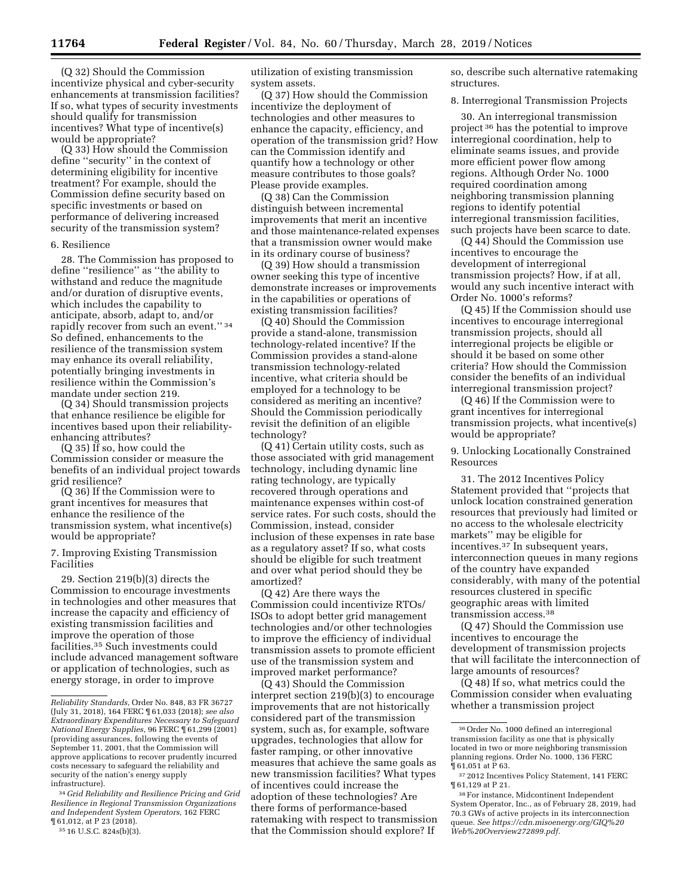(Q 32) Should the Commission incentivize physical and cyber-security enhancements at transmission facilities? If so, what types of security investments should qualify for transmission incentives? What type of incentive(s) would be appropriate?

(Q 33) How should the Commission define ''security'' in the context of determining eligibility for incentive treatment? For example, should the Commission define security based on specific investments or based on performance of delivering increased security of the transmission system?

#### 6. Resilience

28. The Commission has proposed to define ''resilience'' as ''the ability to withstand and reduce the magnitude and/or duration of disruptive events, which includes the capability to anticipate, absorb, adapt to, and/or rapidly recover from such an event.'' 34 So defined, enhancements to the resilience of the transmission system may enhance its overall reliability, potentially bringing investments in resilience within the Commission's mandate under section 219.

(Q 34) Should transmission projects that enhance resilience be eligible for incentives based upon their reliabilityenhancing attributes?

(Q 35) If so, how could the Commission consider or measure the benefits of an individual project towards grid resilience?

(Q 36) If the Commission were to grant incentives for measures that enhance the resilience of the transmission system, what incentive(s) would be appropriate?

7. Improving Existing Transmission Facilities

29. Section 219(b)(3) directs the Commission to encourage investments in technologies and other measures that increase the capacity and efficiency of existing transmission facilities and improve the operation of those facilities.35 Such investments could include advanced management software or application of technologies, such as energy storage, in order to improve

34 *Grid Reliability and Resilience Pricing and Grid Resilience in Regional Transmission Organizations and Independent System Operators,* 162 FERC ¶ 61,012, at P 23 (2018).

35 16 U.S.C. 824s(b)(3).

utilization of existing transmission system assets.

(Q 37) How should the Commission incentivize the deployment of technologies and other measures to enhance the capacity, efficiency, and operation of the transmission grid? How can the Commission identify and quantify how a technology or other measure contributes to those goals? Please provide examples.

(Q 38) Can the Commission distinguish between incremental improvements that merit an incentive and those maintenance-related expenses that a transmission owner would make in its ordinary course of business?

(Q 39) How should a transmission owner seeking this type of incentive demonstrate increases or improvements in the capabilities or operations of existing transmission facilities?

(Q 40) Should the Commission provide a stand-alone, transmission technology-related incentive? If the Commission provides a stand-alone transmission technology-related incentive, what criteria should be employed for a technology to be considered as meriting an incentive? Should the Commission periodically revisit the definition of an eligible technology?

(Q 41) Certain utility costs, such as those associated with grid management technology, including dynamic line rating technology, are typically recovered through operations and maintenance expenses within cost-of service rates. For such costs, should the Commission, instead, consider inclusion of these expenses in rate base as a regulatory asset? If so, what costs should be eligible for such treatment and over what period should they be amortized?

(Q 42) Are there ways the Commission could incentivize RTOs/ ISOs to adopt better grid management technologies and/or other technologies to improve the efficiency of individual transmission assets to promote efficient use of the transmission system and improved market performance?

(Q 43) Should the Commission interpret section 219(b)(3) to encourage improvements that are not historically considered part of the transmission system, such as, for example, software upgrades, technologies that allow for faster ramping, or other innovative measures that achieve the same goals as new transmission facilities? What types of incentives could increase the adoption of these technologies? Are there forms of performance-based ratemaking with respect to transmission that the Commission should explore? If

so, describe such alternative ratemaking structures.

8. Interregional Transmission Projects

30. An interregional transmission project 36 has the potential to improve interregional coordination, help to eliminate seams issues, and provide more efficient power flow among regions. Although Order No. 1000 required coordination among neighboring transmission planning regions to identify potential interregional transmission facilities, such projects have been scarce to date.

(Q 44) Should the Commission use incentives to encourage the development of interregional transmission projects? How, if at all, would any such incentive interact with Order No. 1000's reforms?

(Q 45) If the Commission should use incentives to encourage interregional transmission projects, should all interregional projects be eligible or should it be based on some other criteria? How should the Commission consider the benefits of an individual interregional transmission project?

(Q 46) If the Commission were to grant incentives for interregional transmission projects, what incentive(s) would be appropriate?

9. Unlocking Locationally Constrained Resources

31. The 2012 Incentives Policy Statement provided that ''projects that unlock location constrained generation resources that previously had limited or no access to the wholesale electricity markets'' may be eligible for incentives.37 In subsequent years, interconnection queues in many regions of the country have expanded considerably, with many of the potential resources clustered in specific geographic areas with limited transmission access.38

(Q 47) Should the Commission use incentives to encourage the development of transmission projects that will facilitate the interconnection of large amounts of resources?

(Q 48) If so, what metrics could the Commission consider when evaluating whether a transmission project

*Reliability Standards,* Order No. 848, 83 FR 36727 (July 31, 2018), 164 FERC ¶ 61,033 (2018); *see also Extraordinary Expenditures Necessary to Safeguard National Energy Supplies,* 96 FERC ¶ 61,299 (2001) (providing assurances, following the events of September 11, 2001, that the Commission will approve applications to recover prudently incurred costs necessary to safeguard the reliability and security of the nation's energy supply infrastructure).

<sup>36</sup>Order No. 1000 defined an interregional transmission facility as one that is physically located in two or more neighboring transmission planning regions. Order No. 1000, 136 FERC ¶ 61,051 at P 63.

<sup>37</sup> 2012 Incentives Policy Statement, 141 FERC ¶ 61,129 at P 21.

<sup>38</sup>For instance, Midcontinent Independent System Operator, Inc., as of February 28, 2019, had 70.3 GWs of active projects in its interconnection queue. *See [https://cdn.misoenergy.org/GIQ%20](https://cdn.misoenergy.org/GIQ%20Web%20Overview272899.pdf) [Web%20Overview272899.pdf.](https://cdn.misoenergy.org/GIQ%20Web%20Overview272899.pdf)*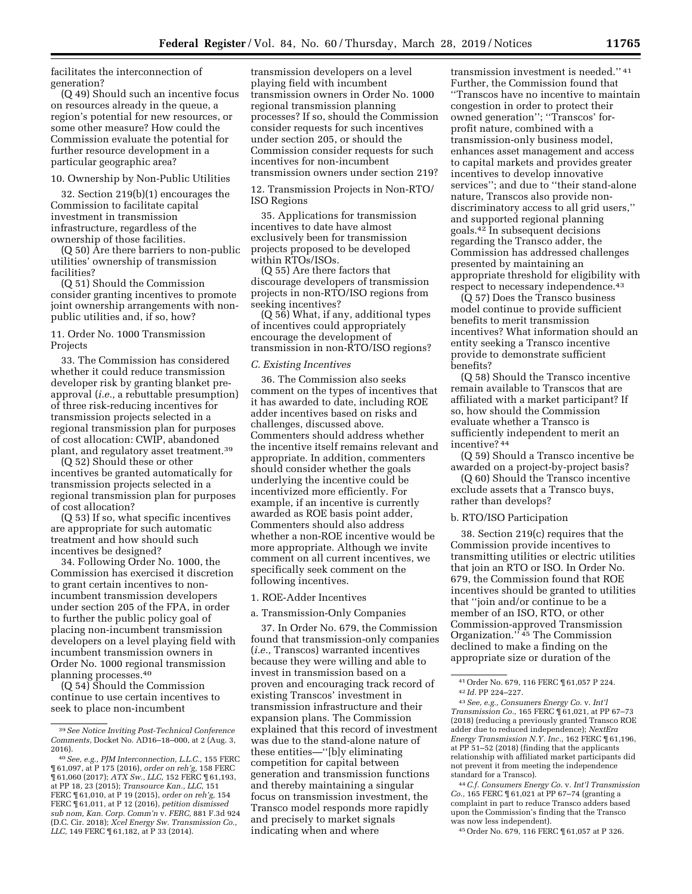facilitates the interconnection of generation?

(Q 49) Should such an incentive focus on resources already in the queue, a region's potential for new resources, or some other measure? How could the Commission evaluate the potential for further resource development in a particular geographic area?

## 10. Ownership by Non-Public Utilities

32. Section 219(b)(1) encourages the Commission to facilitate capital investment in transmission infrastructure, regardless of the ownership of those facilities.

(Q 50) Are there barriers to non-public utilities' ownership of transmission facilities?

(Q 51) Should the Commission consider granting incentives to promote joint ownership arrangements with nonpublic utilities and, if so, how?

11. Order No. 1000 Transmission Projects

33. The Commission has considered whether it could reduce transmission developer risk by granting blanket preapproval (*i.e.,* a rebuttable presumption) of three risk-reducing incentives for transmission projects selected in a regional transmission plan for purposes of cost allocation: CWIP, abandoned plant, and regulatory asset treatment.39

(Q 52) Should these or other incentives be granted automatically for transmission projects selected in a regional transmission plan for purposes of cost allocation?

(Q 53) If so, what specific incentives are appropriate for such automatic treatment and how should such incentives be designed?

34. Following Order No. 1000, the Commission has exercised it discretion to grant certain incentives to nonincumbent transmission developers under section 205 of the FPA, in order to further the public policy goal of placing non-incumbent transmission developers on a level playing field with incumbent transmission owners in Order No. 1000 regional transmission planning processes.40

(Q 54) Should the Commission continue to use certain incentives to seek to place non-incumbent

transmission developers on a level playing field with incumbent transmission owners in Order No. 1000 regional transmission planning processes? If so, should the Commission consider requests for such incentives under section 205, or should the Commission consider requests for such incentives for non-incumbent transmission owners under section 219?

12. Transmission Projects in Non-RTO/ ISO Regions

35. Applications for transmission incentives to date have almost exclusively been for transmission projects proposed to be developed within RTOs/ISOs.

(Q 55) Are there factors that discourage developers of transmission projects in non-RTO/ISO regions from seeking incentives?

(Q 56) What, if any, additional types of incentives could appropriately encourage the development of transmission in non-RTO/ISO regions?

#### *C. Existing Incentives*

36. The Commission also seeks comment on the types of incentives that it has awarded to date, including ROE adder incentives based on risks and challenges, discussed above. Commenters should address whether the incentive itself remains relevant and appropriate. In addition, commenters should consider whether the goals underlying the incentive could be incentivized more efficiently. For example, if an incentive is currently awarded as ROE basis point adder, Commenters should also address whether a non-ROE incentive would be more appropriate. Although we invite comment on all current incentives, we specifically seek comment on the following incentives.

#### 1. ROE-Adder Incentives

a. Transmission-Only Companies

37. In Order No. 679, the Commission found that transmission-only companies (*i.e.,* Transcos) warranted incentives because they were willing and able to invest in transmission based on a proven and encouraging track record of existing Transcos' investment in transmission infrastructure and their expansion plans. The Commission explained that this record of investment was due to the stand-alone nature of these entities—''[b]y eliminating competition for capital between generation and transmission functions and thereby maintaining a singular focus on transmission investment, the Transco model responds more rapidly and precisely to market signals indicating when and where

transmission investment is needed.'' 41 Further, the Commission found that ''Transcos have no incentive to maintain congestion in order to protect their owned generation''; ''Transcos' forprofit nature, combined with a transmission-only business model, enhances asset management and access to capital markets and provides greater incentives to develop innovative services''; and due to ''their stand-alone nature, Transcos also provide nondiscriminatory access to all grid users,'' and supported regional planning goals.42 In subsequent decisions regarding the Transco adder, the Commission has addressed challenges presented by maintaining an appropriate threshold for eligibility with respect to necessary independence.43

(Q 57) Does the Transco business model continue to provide sufficient benefits to merit transmission incentives? What information should an entity seeking a Transco incentive provide to demonstrate sufficient benefits?

(Q 58) Should the Transco incentive remain available to Transcos that are affiliated with a market participant? If so, how should the Commission evaluate whether a Transco is sufficiently independent to merit an incentive? 44

(Q 59) Should a Transco incentive be awarded on a project-by-project basis?

(Q 60) Should the Transco incentive exclude assets that a Transco buys, rather than develops?

## b. RTO/ISO Participation

38. Section 219(c) requires that the Commission provide incentives to transmitting utilities or electric utilities that join an RTO or ISO. In Order No. 679, the Commission found that ROE incentives should be granted to utilities that ''join and/or continue to be a member of an ISO, RTO, or other Commission-approved Transmission Organization.'' 45 The Commission declined to make a finding on the appropriate size or duration of the

43*See, e.g., Consumers Energy Co.* v. *Int'l Transmission Co.,* 165 FERC ¶ 61,021, at PP 67–73 (2018) (reducing a previously granted Transco ROE adder due to reduced independence); *NextEra Energy Transmission N.Y. Inc.,* 162 FERC ¶ 61,196, at PP 51–52 (2018) (finding that the applicants relationship with affiliated market participants did not prevent it from meeting the independence standard for a Transco).

44*C.f. Consumers Energy Co.* v. *Int'l Transmission Co.,* 165 FERC ¶ 61,021 at PP 67–74 (granting a complaint in part to reduce Transco adders based upon the Commission's finding that the Transco was now less independent).

45Order No. 679, 116 FERC ¶ 61,057 at P 326.

<sup>39</sup>*See Notice Inviting Post-Technical Conference Comments,* Docket No. AD16–18–000, at 2 (Aug. 3, 2016).

<sup>40</sup>*See, e.g., PJM Interconnection, L.L.C.,* 155 FERC ¶ 61,097, at P 175 (2016), *order on reh'g,* 158 FERC ¶ 61,060 (2017); *ATX Sw., LLC,* 152 FERC ¶ 61,193, at PP 18, 23 (2015); *Transource Kan., LLC,* 151 FERC ¶ 61,010, at P 19 (2015), *order on reh'g,* 154 FERC ¶ 61,011, at P 12 (2016), *petition dismissed sub nom, Kan. Corp. Comm'n* v. *FERC,* 881 F.3d 924 (D.C. Cir. 2018); *Xcel Energy Sw. Transmission Co., LLC,* 149 FERC ¶ 61,182, at P 33 (2014).

<sup>41</sup>Order No. 679, 116 FERC ¶ 61,057 P 224. 42 *Id.* PP 224–227.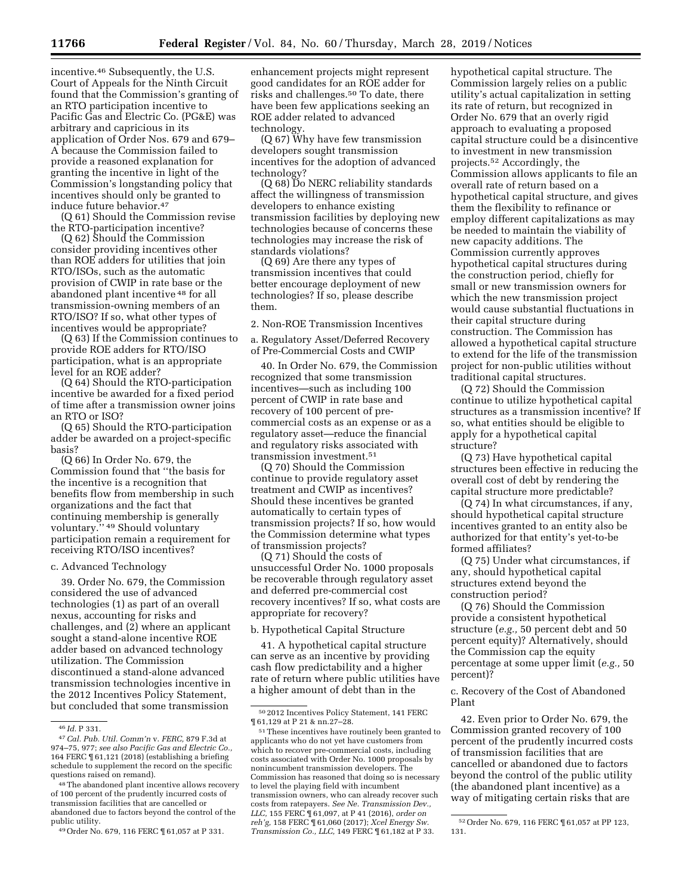incentive.46 Subsequently, the U.S. Court of Appeals for the Ninth Circuit found that the Commission's granting of an RTO participation incentive to Pacific Gas and Electric Co. (PG&E) was arbitrary and capricious in its application of Order Nos. 679 and 679– A because the Commission failed to provide a reasoned explanation for granting the incentive in light of the Commission's longstanding policy that incentives should only be granted to induce future behavior.47

(Q 61) Should the Commission revise the RTO-participation incentive?

(Q 62) Should the Commission consider providing incentives other than ROE adders for utilities that join RTO/ISOs, such as the automatic provision of CWIP in rate base or the abandoned plant incentive 48 for all transmission-owning members of an RTO/ISO? If so, what other types of incentives would be appropriate?

(Q 63) If the Commission continues to provide ROE adders for RTO/ISO participation, what is an appropriate level for an ROE adder?

(Q 64) Should the RTO-participation incentive be awarded for a fixed period of time after a transmission owner joins an RTO or ISO?

(Q 65) Should the RTO-participation adder be awarded on a project-specific basis?

(Q 66) In Order No. 679, the Commission found that ''the basis for the incentive is a recognition that benefits flow from membership in such organizations and the fact that continuing membership is generally voluntary.'' 49 Should voluntary participation remain a requirement for receiving RTO/ISO incentives?

#### c. Advanced Technology

39. Order No. 679, the Commission considered the use of advanced technologies (1) as part of an overall nexus, accounting for risks and challenges, and (2) where an applicant sought a stand-alone incentive ROE adder based on advanced technology utilization. The Commission discontinued a stand-alone advanced transmission technologies incentive in the 2012 Incentives Policy Statement, but concluded that some transmission

48The abandoned plant incentive allows recovery of 100 percent of the prudently incurred costs of transmission facilities that are cancelled or abandoned due to factors beyond the control of the public utility.

49Order No. 679, 116 FERC ¶ 61,057 at P 331.

enhancement projects might represent good candidates for an ROE adder for risks and challenges.50 To date, there have been few applications seeking an ROE adder related to advanced technology.

(Q 67) Why have few transmission developers sought transmission incentives for the adoption of advanced technology?

(Q 68) Do NERC reliability standards affect the willingness of transmission developers to enhance existing transmission facilities by deploying new technologies because of concerns these technologies may increase the risk of standards violations?

(Q 69) Are there any types of transmission incentives that could better encourage deployment of new technologies? If so, please describe them.

2. Non-ROE Transmission Incentives

a. Regulatory Asset/Deferred Recovery of Pre-Commercial Costs and CWIP

40. In Order No. 679, the Commission recognized that some transmission incentives—such as including 100 percent of CWIP in rate base and recovery of 100 percent of precommercial costs as an expense or as a regulatory asset—reduce the financial and regulatory risks associated with transmission investment.51

(Q 70) Should the Commission continue to provide regulatory asset treatment and CWIP as incentives? Should these incentives be granted automatically to certain types of transmission projects? If so, how would the Commission determine what types of transmission projects?

(Q 71) Should the costs of unsuccessful Order No. 1000 proposals be recoverable through regulatory asset and deferred pre-commercial cost recovery incentives? If so, what costs are appropriate for recovery?

#### b. Hypothetical Capital Structure

41. A hypothetical capital structure can serve as an incentive by providing cash flow predictability and a higher rate of return where public utilities have a higher amount of debt than in the

hypothetical capital structure. The Commission largely relies on a public utility's actual capitalization in setting its rate of return, but recognized in Order No. 679 that an overly rigid approach to evaluating a proposed capital structure could be a disincentive to investment in new transmission projects.52 Accordingly, the Commission allows applicants to file an overall rate of return based on a hypothetical capital structure, and gives them the flexibility to refinance or employ different capitalizations as may be needed to maintain the viability of new capacity additions. The Commission currently approves hypothetical capital structures during the construction period, chiefly for small or new transmission owners for which the new transmission project would cause substantial fluctuations in their capital structure during construction. The Commission has allowed a hypothetical capital structure to extend for the life of the transmission project for non-public utilities without traditional capital structures.

(Q 72) Should the Commission continue to utilize hypothetical capital structures as a transmission incentive? If so, what entities should be eligible to apply for a hypothetical capital structure?

(Q 73) Have hypothetical capital structures been effective in reducing the overall cost of debt by rendering the capital structure more predictable?

(Q 74) In what circumstances, if any, should hypothetical capital structure incentives granted to an entity also be authorized for that entity's yet-to-be formed affiliates?

(Q 75) Under what circumstances, if any, should hypothetical capital structures extend beyond the construction period?

(Q 76) Should the Commission provide a consistent hypothetical structure (*e.g.,* 50 percent debt and 50 percent equity)? Alternatively, should the Commission cap the equity percentage at some upper limit (*e.g.,* 50 percent)?

c. Recovery of the Cost of Abandoned Plant

42. Even prior to Order No. 679, the Commission granted recovery of 100 percent of the prudently incurred costs of transmission facilities that are cancelled or abandoned due to factors beyond the control of the public utility (the abandoned plant incentive) as a way of mitigating certain risks that are

<sup>46</sup> *Id.* P 331.

<sup>47</sup>*Cal. Pub. Util. Comm'n* v. *FERC,* 879 F.3d at 974–75, 977; *see also Pacific Gas and Electric Co.,*  164 FERC ¶ 61,121 (2018) (establishing a briefing schedule to supplement the record on the specific questions raised on remand).

<sup>50</sup> 2012 Incentives Policy Statement, 141 FERC ¶ 61,129 at P 21 & nn.27–28.

<sup>51</sup>These incentives have routinely been granted to applicants who do not yet have customers from which to recover pre-commercial costs, including costs associated with Order No. 1000 proposals by nonincumbent transmission developers. The Commission has reasoned that doing so is necessary to level the playing field with incumbent transmission owners, who can already recover such costs from ratepayers. *See Ne. Transmission Dev., LLC,* 155 FERC ¶ 61,097, at P 41 (2016), *order on reh'g,* 158 FERC ¶ 61,060 (2017); *Xcel Energy Sw. Transmission Co., LLC,* 149 FERC ¶ 61,182 at P 33.

<sup>52</sup>Order No. 679, 116 FERC ¶ 61,057 at PP 123, 131.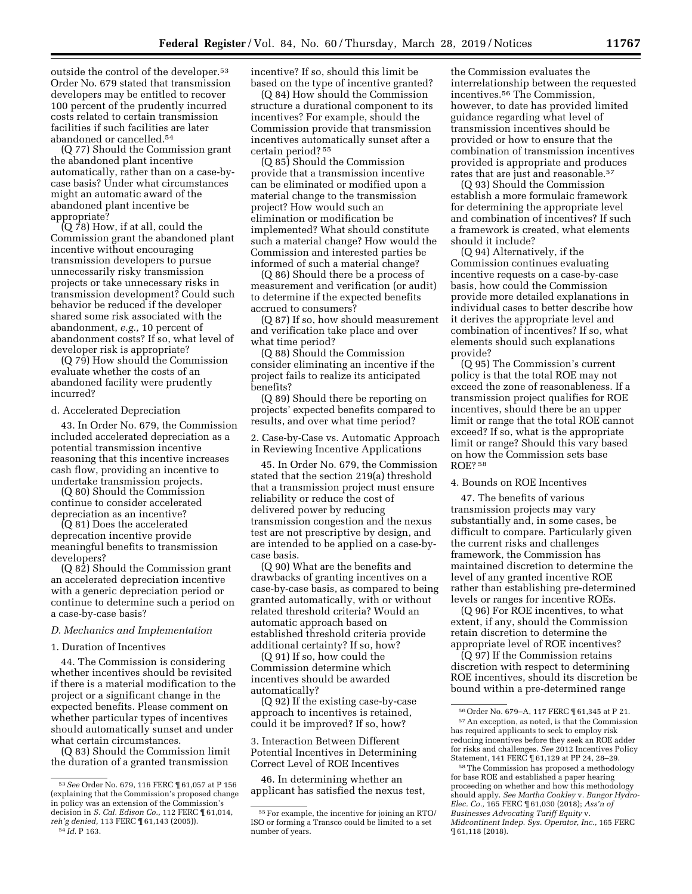outside the control of the developer.53 Order No. 679 stated that transmission developers may be entitled to recover 100 percent of the prudently incurred costs related to certain transmission facilities if such facilities are later abandoned or cancelled.54

(Q 77) Should the Commission grant the abandoned plant incentive automatically, rather than on a case-bycase basis? Under what circumstances might an automatic award of the abandoned plant incentive be appropriate?

(Q 78) How, if at all, could the Commission grant the abandoned plant incentive without encouraging transmission developers to pursue unnecessarily risky transmission projects or take unnecessary risks in transmission development? Could such behavior be reduced if the developer shared some risk associated with the abandonment, *e.g.,* 10 percent of abandonment costs? If so, what level of developer risk is appropriate?

(Q 79) How should the Commission evaluate whether the costs of an abandoned facility were prudently incurred?

### d. Accelerated Depreciation

43. In Order No. 679, the Commission included accelerated depreciation as a potential transmission incentive reasoning that this incentive increases cash flow, providing an incentive to undertake transmission projects.

(Q 80) Should the Commission continue to consider accelerated depreciation as an incentive?

(Q 81) Does the accelerated deprecation incentive provide meaningful benefits to transmission developers?

(Q 82) Should the Commission grant an accelerated depreciation incentive with a generic depreciation period or continue to determine such a period on a case-by-case basis?

## *D. Mechanics and Implementation*

#### 1. Duration of Incentives

44. The Commission is considering whether incentives should be revisited if there is a material modification to the project or a significant change in the expected benefits. Please comment on whether particular types of incentives should automatically sunset and under what certain circumstances.

(Q 83) Should the Commission limit the duration of a granted transmission

54 *Id.* P 163.

incentive? If so, should this limit be based on the type of incentive granted?

(Q 84) How should the Commission structure a durational component to its incentives? For example, should the Commission provide that transmission incentives automatically sunset after a certain period? 55

(Q 85) Should the Commission provide that a transmission incentive can be eliminated or modified upon a material change to the transmission project? How would such an elimination or modification be implemented? What should constitute such a material change? How would the Commission and interested parties be informed of such a material change?

(Q 86) Should there be a process of measurement and verification (or audit) to determine if the expected benefits accrued to consumers?

(Q 87) If so, how should measurement and verification take place and over what time period?

(Q 88) Should the Commission consider eliminating an incentive if the project fails to realize its anticipated benefits?

(Q 89) Should there be reporting on projects' expected benefits compared to results, and over what time period?

2. Case-by-Case vs. Automatic Approach in Reviewing Incentive Applications

45. In Order No. 679, the Commission stated that the section 219(a) threshold that a transmission project must ensure reliability or reduce the cost of delivered power by reducing transmission congestion and the nexus test are not prescriptive by design, and are intended to be applied on a case-bycase basis.

(Q 90) What are the benefits and drawbacks of granting incentives on a case-by-case basis, as compared to being granted automatically, with or without related threshold criteria? Would an automatic approach based on established threshold criteria provide additional certainty? If so, how?

(Q 91) If so, how could the Commission determine which incentives should be awarded automatically?

(Q 92) If the existing case-by-case approach to incentives is retained, could it be improved? If so, how?

3. Interaction Between Different Potential Incentives in Determining Correct Level of ROE Incentives

46. In determining whether an applicant has satisfied the nexus test,

the Commission evaluates the interrelationship between the requested incentives.56 The Commission, however, to date has provided limited guidance regarding what level of transmission incentives should be provided or how to ensure that the combination of transmission incentives provided is appropriate and produces rates that are just and reasonable.<sup>57</sup>

(Q 93) Should the Commission establish a more formulaic framework for determining the appropriate level and combination of incentives? If such a framework is created, what elements should it include?

(Q 94) Alternatively, if the Commission continues evaluating incentive requests on a case-by-case basis, how could the Commission provide more detailed explanations in individual cases to better describe how it derives the appropriate level and combination of incentives? If so, what elements should such explanations provide?

(Q 95) The Commission's current policy is that the total ROE may not exceed the zone of reasonableness. If a transmission project qualifies for ROE incentives, should there be an upper limit or range that the total ROE cannot exceed? If so, what is the appropriate limit or range? Should this vary based on how the Commission sets base ROE? 58

## 4. Bounds on ROE Incentives

47. The benefits of various transmission projects may vary substantially and, in some cases, be difficult to compare. Particularly given the current risks and challenges framework, the Commission has maintained discretion to determine the level of any granted incentive ROE rather than establishing pre-determined levels or ranges for incentive ROEs.

(Q 96) For ROE incentives, to what extent, if any, should the Commission retain discretion to determine the appropriate level of ROE incentives?

(Q 97) If the Commission retains discretion with respect to determining ROE incentives, should its discretion be bound within a pre-determined range

<sup>53</sup>*See* Order No. 679, 116 FERC ¶ 61,057 at P 156 (explaining that the Commission's proposed change in policy was an extension of the Commission's decision in *S. Cal. Edison Co.,* 112 FERC ¶ 61,014, *reh'g denied,* 113 FERC ¶ 61,143 (2005)).

<sup>55</sup>For example, the incentive for joining an RTO/ ISO or forming a Transco could be limited to a set number of years.

<sup>56</sup>Order No. 679–A, 117 FERC ¶ 61,345 at P 21.

<sup>57</sup>An exception, as noted, is that the Commission has required applicants to seek to employ risk reducing incentives before they seek an ROE adder for risks and challenges. *See* 2012 Incentives Policy Statement, 141 FERC ¶ 61,129 at PP 24, 28–29.

<sup>58</sup>The Commission has proposed a methodology for base ROE and established a paper hearing proceeding on whether and how this methodology should apply. *See Martha Coakley* v. *Bangor Hydro-Elec. Co.,* 165 FERC ¶ 61,030 (2018); *Ass'n of Businesses Advocating Tariff Equity* v. *Midcontinent Indep. Sys. Operator, Inc.,* 165 FERC ¶ 61,118 (2018).